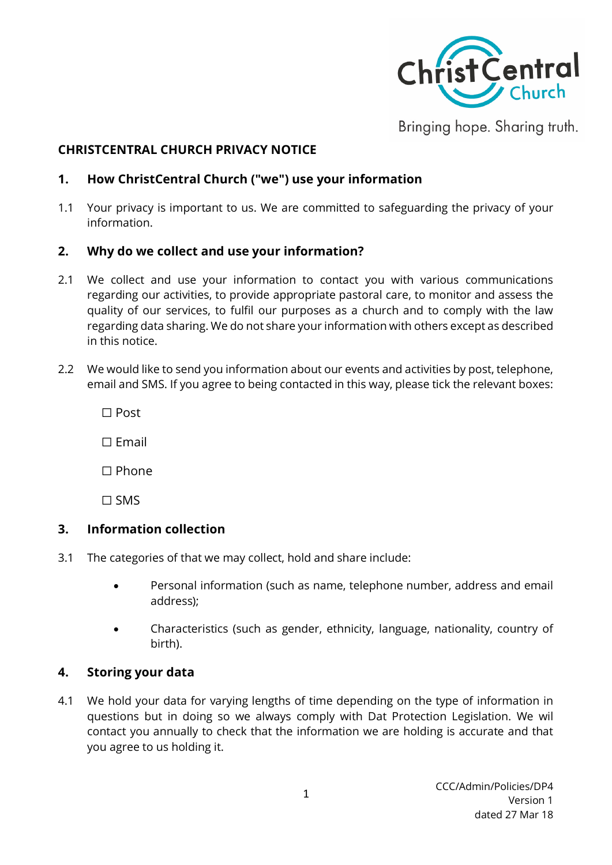

Bringing hope. Sharing truth.

#### **CHRISTCENTRAL CHURCH PRIVACY NOTICE**

### **1. How ChristCentral Church ("we") use your information**

1.1 Your privacy is important to us. We are committed to safeguarding the privacy of your information.

#### **2. Why do we collect and use your information?**

- 2.1 We collect and use your information to contact you with various communications regarding our activities, to provide appropriate pastoral care, to monitor and assess the quality of our services, to fulfil our purposes as a church and to comply with the law regarding data sharing. We do not share your information with others except as described in this notice.
- 2.2 We would like to send you information about our events and activities by post, telephone, email and SMS. If you agree to being contacted in this way, please tick the relevant boxes:

☐ Post

☐ Email

☐ Phone

☐ SMS

#### **3. Information collection**

- 3.1 The categories of that we may collect, hold and share include:
	- Personal information (such as name, telephone number, address and email address);
	- Characteristics (such as gender, ethnicity, language, nationality, country of birth).

#### **4. Storing your data**

4.1 We hold your data for varying lengths of time depending on the type of information in questions but in doing so we always comply with Dat Protection Legislation. We wil contact you annually to check that the information we are holding is accurate and that you agree to us holding it.